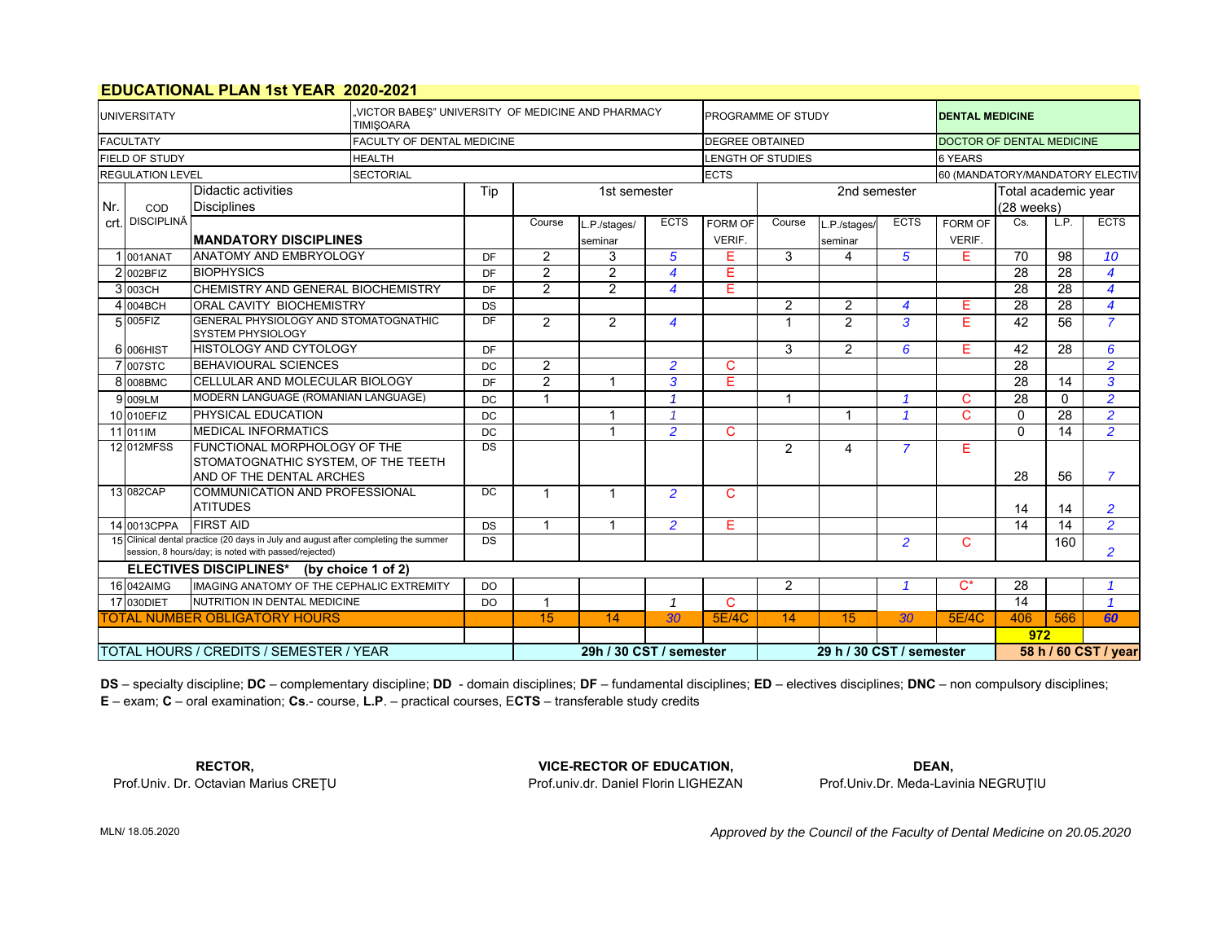### **EDUCATIONAL PLAN 1st YEAR 2020-2021**

| <b>UNIVERSITATY</b>                                                  |                                         |                                                                                                                                             | VICTOR BABES" UNIVERSITY OF MEDICINE AND PHARMACY<br><b>TIMISOARA</b> | <b>PROGRAMME OF STUDY</b> |                |                         | <b>DENTAL MEDICINE</b>  |                        |                          |                                                  |                     |                |                 |                          |                |  |
|----------------------------------------------------------------------|-----------------------------------------|---------------------------------------------------------------------------------------------------------------------------------------------|-----------------------------------------------------------------------|---------------------------|----------------|-------------------------|-------------------------|------------------------|--------------------------|--------------------------------------------------|---------------------|----------------|-----------------|--------------------------|----------------|--|
|                                                                      | <b>FACULTATY</b>                        |                                                                                                                                             | FACULTY OF DENTAL MEDICINE                                            |                           |                |                         |                         | <b>DEGREE OBTAINED</b> |                          | DOCTOR OF DENTAL MEDICINE                        |                     |                |                 |                          |                |  |
|                                                                      | <b>FIELD OF STUDY</b>                   |                                                                                                                                             | <b>HEALTH</b>                                                         |                           |                |                         |                         |                        | <b>LENGTH OF STUDIES</b> | <b>6 YEARS</b>                                   |                     |                |                 |                          |                |  |
| <b>REGULATION LEVEL</b><br><b>SECTORIAL</b>                          |                                         |                                                                                                                                             |                                                                       |                           |                |                         |                         | <b>ECTS</b>            |                          | 60 (MANDATORY/MANDATORY ELECTIV                  |                     |                |                 |                          |                |  |
|                                                                      | Didactic activities<br>Tip              |                                                                                                                                             |                                                                       |                           |                | 1st semester            |                         |                        |                          |                                                  | Total academic year |                |                 |                          |                |  |
| Nr.                                                                  | COD                                     | <b>Disciplines</b>                                                                                                                          |                                                                       |                           |                |                         |                         |                        |                          |                                                  |                     | (28 weeks)     |                 |                          |                |  |
|                                                                      | crt. DISCIPLINĂ                         | <b>MANDATORY DISCIPLINES</b>                                                                                                                |                                                                       |                           | Course         | L.P./stages/            | <b>ECTS</b>             | <b>FORM OF</b>         | Course                   | L.P./stages/                                     | <b>ECTS</b>         | <b>FORM OF</b> | Cs.             | LP                       | <b>ECTS</b>    |  |
|                                                                      |                                         |                                                                                                                                             |                                                                       |                           |                | seminar                 |                         | VERIF.                 |                          | seminar                                          |                     | VERIF.         |                 |                          |                |  |
|                                                                      | 001ANAT                                 | <b>ANATOMY AND EMBRYOLOGY</b>                                                                                                               |                                                                       | <b>DF</b>                 | 2              | 3                       | 5                       | Е                      | 3                        | 4                                                | 5                   | E              | 70              | 98                       | 10             |  |
|                                                                      | 2002BFIZ                                | <b>BIOPHYSICS</b>                                                                                                                           |                                                                       | DF                        | 2              | $\overline{2}$          | 4                       | E                      |                          |                                                  |                     |                | 28              | 28                       | $\overline{4}$ |  |
|                                                                      | 3003CH                                  | CHEMISTRY AND GENERAL BIOCHEMISTRY                                                                                                          |                                                                       | DF                        | $\overline{2}$ | $\overline{2}$          | $\overline{\mathbf{A}}$ | E                      |                          |                                                  |                     |                | 28              | 28                       | $\overline{4}$ |  |
|                                                                      | $4$ 004BCH                              | ORAL CAVITY BIOCHEMISTRY                                                                                                                    |                                                                       | <b>DS</b>                 |                |                         |                         |                        | $\overline{2}$           | $\overline{2}$                                   | 4                   | E              | 28              | 28                       | $\overline{4}$ |  |
|                                                                      | 5005FIZ                                 | GENERAL PHYSIOLOGY AND STOMATOGNATHIC<br><b>SYSTEM PHYSIOLOGY</b>                                                                           |                                                                       | DF                        | $\overline{2}$ | 2                       | 4                       |                        |                          | $\overline{2}$                                   | 3                   | E              | 42              | 56                       | $\overline{7}$ |  |
|                                                                      | 6 006HIST                               | <b>HISTOLOGY AND CYTOLOGY</b>                                                                                                               |                                                                       | <b>DF</b>                 |                |                         |                         |                        | 3                        | $\overline{2}$                                   | 6                   | E.             | 42              | 28                       | 6              |  |
|                                                                      | 7007STC                                 | <b>BEHAVIOURAL SCIENCES</b>                                                                                                                 |                                                                       | <b>DC</b>                 | $\overline{2}$ |                         | $\overline{2}$          | C                      |                          |                                                  |                     |                | $\overline{28}$ |                          | $\overline{2}$ |  |
|                                                                      | 8 008BMC                                | CELLULAR AND MOLECULAR BIOLOGY                                                                                                              |                                                                       | DF                        | $\overline{2}$ |                         | 3                       | Е                      |                          |                                                  |                     |                | $\overline{28}$ | 14                       | 3              |  |
|                                                                      | 9 009LM                                 | MODERN LANGUAGE (ROMANIAN LANGUAGE)                                                                                                         |                                                                       | DC                        | $\mathbf{1}$   |                         | $\overline{\mathbf{1}}$ |                        |                          |                                                  |                     | C              | 28              | $\mathbf{0}$             | $\overline{2}$ |  |
|                                                                      | 10 010EFIZ                              | PHYSICAL EDUCATION                                                                                                                          |                                                                       | DC                        |                | -1                      | 1                       |                        |                          | -1                                               | $\overline{A}$      | C.             | $\mathbf{0}$    | $\overline{28}$          | $\overline{2}$ |  |
|                                                                      | 11 011 IM                               | <b>MEDICAL INFORMATICS</b>                                                                                                                  |                                                                       | DC                        |                |                         | $\overline{2}$          | C                      |                          |                                                  |                     |                | $\Omega$        | 14                       | $\overline{2}$ |  |
|                                                                      | 12 012MFSS                              | FUNCTIONAL MORPHOLOGY OF THE<br>STOMATOGNATHIC SYSTEM, OF THE TEETH<br>AND OF THE DENTAL ARCHES                                             |                                                                       | DS                        |                |                         |                         |                        | 2                        | $\overline{\mathbf{4}}$                          | $\overline{7}$      | Е              | 28              | 56                       | $\overline{7}$ |  |
|                                                                      | 13 082CAP                               | <b>COMMUNICATION AND PROFESSIONAL</b><br><b>ATITUDES</b>                                                                                    |                                                                       | <b>DC</b>                 | $\mathbf 1$    |                         | $\mathfrak{p}$          | C                      |                          |                                                  |                     |                | 14              | 14                       | $\overline{2}$ |  |
|                                                                      | 14 0013CPPA                             | <b>FIRST AID</b>                                                                                                                            |                                                                       | <b>DS</b>                 | $\mathbf{1}$   | $\overline{1}$          | $\overline{2}$          | F.                     |                          |                                                  |                     |                | 14              | 14                       | $\overline{2}$ |  |
|                                                                      |                                         | 15 Clinical dental practice (20 days in July and august after completing the summer<br>session, 8 hours/day; is noted with passed/rejected) |                                                                       | DS                        |                |                         |                         |                        |                          |                                                  | $\overline{2}$      | C              |                 | 160                      | $\overline{2}$ |  |
| ELECTIVES DISCIPLINES* (by choice 1 of 2)                            |                                         |                                                                                                                                             |                                                                       |                           |                |                         |                         |                        |                          |                                                  |                     |                |                 |                          |                |  |
| 16 042AIMG<br>IMAGING ANATOMY OF THE CEPHALIC EXTREMITY<br><b>DO</b> |                                         |                                                                                                                                             |                                                                       |                           |                |                         |                         | 2                      |                          |                                                  | $\overline{C^*}$    | 28             |                 | $\overline{\mathbf{1}}$  |                |  |
| 17 030DIET<br>NUTRITION IN DENTAL MEDICINE<br><b>DO</b>              |                                         |                                                                                                                                             |                                                                       |                           |                | $\mathbf 1$             | C                       |                        |                          |                                                  |                     | 14             |                 | $\overline{\mathcal{L}}$ |                |  |
|                                                                      |                                         | <b>TOTAL NUMBER OBLIGATORY HOURS</b>                                                                                                        |                                                                       |                           | 15             | 14                      | 30                      | <b>5E/4C</b>           | 14                       | 15                                               | 30                  | <b>5E/4C</b>   | 406             | 566                      | 60             |  |
|                                                                      |                                         |                                                                                                                                             |                                                                       |                           |                |                         |                         |                        |                          |                                                  |                     |                | 972             |                          |                |  |
|                                                                      | TOTAL HOURS / CREDITS / SEMESTER / YEAR |                                                                                                                                             |                                                                       |                           |                | 29h / 30 CST / semester |                         |                        |                          | 29 h / 30 CST / semester<br>58 h / 60 CST / year |                     |                |                 |                          |                |  |

**E** – exam; **C** – oral examination; **Cs**.- course, **L.P**. – practical courses, E**CTS** – transferable study credits **DS** – specialty discipline; **DC** – complementary discipline; **DD** - domain disciplines; **DF** – fundamental disciplines; **ED** – electives disciplines; **DNC** – non compulsory disciplines;

Prof.Univ. Dr. Octavian Marius CREŢU Prof.univ.dr. Daniel Florin LIGHEZAN Prof.Univ.Dr. Meda-Lavinia NEGRUŢIU

**RECTOR, VICE-RECTOR OF EDUCATION, DEAN,**

*Approved by the Council of the Faculty of Dental Medicine on 20.05.2020* 

MLN/ 18.05.2020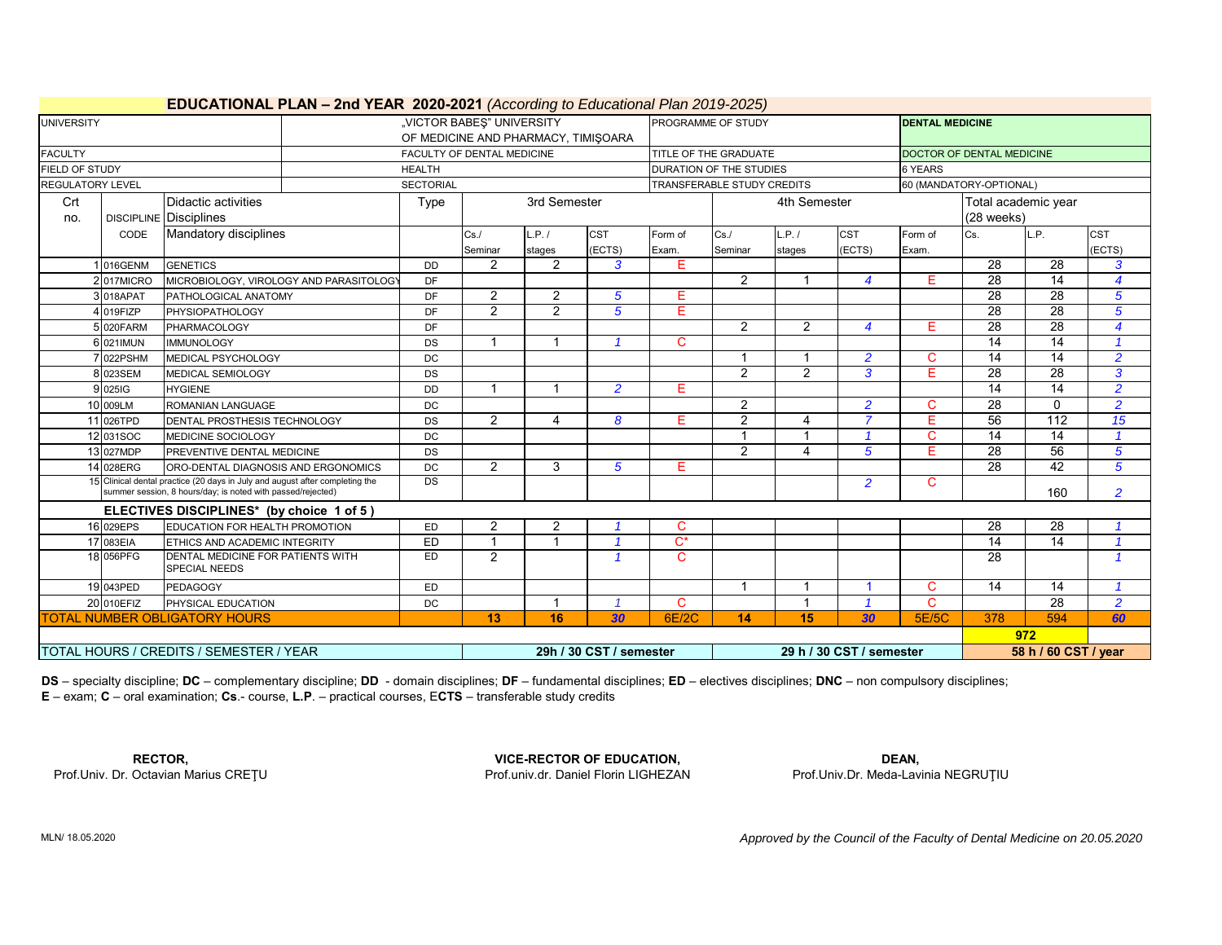| <b>UNIVERSITY</b>                |                                            | <b>EDUCATIONAL PLAN – 2nd YEAR 2020-2021</b> (According to Educational Plan 2019-2025)                                                      | "VICTOR BABES" UNIVERSITY |                            |                                     |                         | PROGRAMME OF STUDY |                            |                         | <b>DENTAL MEDICINE</b>   |                           |                      |                  |                         |  |  |
|----------------------------------|--------------------------------------------|---------------------------------------------------------------------------------------------------------------------------------------------|---------------------------|----------------------------|-------------------------------------|-------------------------|--------------------|----------------------------|-------------------------|--------------------------|---------------------------|----------------------|------------------|-------------------------|--|--|
|                                  |                                            |                                                                                                                                             |                           |                            | OF MEDICINE AND PHARMACY, TIMIŞOARA |                         |                    |                            |                         |                          |                           |                      |                  |                         |  |  |
| <b>FACULTY</b>                   |                                            |                                                                                                                                             |                           | FACULTY OF DENTAL MEDICINE |                                     |                         |                    | TITLE OF THE GRADUATE      |                         |                          | DOCTOR OF DENTAL MEDICINE |                      |                  |                         |  |  |
| FIELD OF STUDY                   |                                            |                                                                                                                                             | <b>HEALTH</b>             |                            |                                     |                         |                    | DURATION OF THE STUDIES    |                         |                          | 6 YEARS                   |                      |                  |                         |  |  |
| <b>REGULATORY LEVEL</b>          |                                            |                                                                                                                                             | <b>SECTORIAL</b>          |                            |                                     |                         |                    | TRANSFERABLE STUDY CREDITS |                         |                          | 60 (MANDATORY-OPTIONAL)   |                      |                  |                         |  |  |
| Crt                              |                                            | <b>Didactic activities</b>                                                                                                                  | Type                      |                            | 3rd Semester                        |                         |                    |                            | 4th Semester            |                          | Total academic year       |                      |                  |                         |  |  |
| no.                              | <b>DISCIPLINE Disciplines</b>              |                                                                                                                                             |                           |                            |                                     |                         |                    |                            |                         |                          |                           |                      |                  |                         |  |  |
|                                  | CODE                                       | Mandatory disciplines                                                                                                                       |                           | Cs/                        | L.P. /                              | <b>CST</b>              | Form of            | $Cs$ .                     | L.P. /                  | <b>CST</b>               | Form of                   | Cs.                  | L.P.             | <b>CST</b>              |  |  |
|                                  |                                            |                                                                                                                                             |                           | Seminar                    | stages                              | (ECTS)                  | Exam.              | Seminar                    | stages                  | (ECTS)                   | Exam.                     |                      |                  | (ECTS)                  |  |  |
|                                  | 1 016GENM                                  | <b>GENETICS</b>                                                                                                                             | <b>DD</b>                 | 2                          | $\overline{2}$                      | 3                       | E                  |                            |                         |                          |                           | $\overline{28}$      | $\overline{28}$  | 3                       |  |  |
|                                  | 2017MICRO                                  | MICROBIOLOGY, VIROLOGY AND PARASITOLOGY                                                                                                     | DF                        |                            |                                     |                         |                    | 2                          |                         | $\overline{4}$           | E.                        | $\overline{28}$      | 14               | $\boldsymbol{4}$        |  |  |
|                                  | 3 018APAT                                  | PATHOLOGICAL ANATOMY                                                                                                                        | DF                        | 2                          | $\overline{2}$                      | 5                       | E.                 |                            |                         |                          |                           | $\overline{28}$      | 28               | 5                       |  |  |
|                                  | 4 019FIZP                                  | <b>PHYSIOPATHOLOGY</b>                                                                                                                      | DF                        | 2                          | 2                                   | 5                       | E                  |                            |                         |                          |                           | 28                   | 28               | 5                       |  |  |
|                                  | 5 020 FARM<br>PHARMACOLOGY                 |                                                                                                                                             |                           |                            |                                     |                         |                    | 2                          | 2                       | 4                        | Е                         | $\overline{28}$      | 28               | $\overline{4}$          |  |  |
|                                  | 6 021 IMUN<br><b>IMMUNOLOGY</b>            |                                                                                                                                             |                           |                            |                                     |                         | C                  |                            |                         |                          |                           | $\overline{14}$      | $\overline{14}$  | $\overline{1}$          |  |  |
|                                  | 7 022PSHM<br>MEDICAL PSYCHOLOGY            |                                                                                                                                             |                           |                            |                                     |                         |                    | 1                          | -1                      | $\overline{2}$           | C.                        | 14                   | 14               | $\overline{2}$          |  |  |
|                                  | 8 023SEM<br>MEDICAL SEMIOLOGY              |                                                                                                                                             | <b>DS</b>                 |                            |                                     |                         |                    | 2                          | 2                       | 3                        | Е                         | $\overline{28}$      | $\overline{28}$  | 3                       |  |  |
|                                  | 9 025 G<br><b>HYGIENE</b>                  |                                                                                                                                             | DD                        |                            |                                     | $\overline{2}$          | E                  |                            |                         |                          |                           | $\overline{14}$      | $\overline{14}$  | $\overline{2}$          |  |  |
|                                  | 10 009LM                                   | ROMANIAN LANGUAGE                                                                                                                           | DC                        |                            |                                     |                         |                    | 2                          |                         | $\overline{2}$           | C.                        | $\overline{28}$      | $\Omega$         | $\overline{2}$          |  |  |
|                                  | 11 026TPD                                  | DENTAL PROSTHESIS TECHNOLOGY                                                                                                                | DS                        | 2                          | 4                                   | 8                       | E.                 | $\overline{2}$             | $\overline{\mathbf{4}}$ | $\overline{z}$           | Е                         | $\overline{56}$      | $\overline{112}$ | 15                      |  |  |
|                                  | 12 031SOC                                  | MEDICINE SOCIOLOGY                                                                                                                          | DC                        |                            |                                     |                         |                    |                            |                         |                          | C                         | $\overline{14}$      | $\overline{14}$  |                         |  |  |
|                                  | 13 027MDP                                  | PREVENTIVE DENTAL MEDICINE                                                                                                                  | <b>DS</b>                 |                            |                                     |                         |                    | $\mathcal{P}$              | $\overline{4}$          | 5                        | Ē                         | $\overline{28}$      | 56               | 5                       |  |  |
|                                  | 14 028ERG                                  | ORO-DENTAL DIAGNOSIS AND ERGONOMICS                                                                                                         | DC                        | 2                          | 3                                   | $\sqrt{5}$              | Е                  |                            |                         |                          |                           | 28                   | 42               | 5                       |  |  |
|                                  |                                            | 15 Clinical dental practice (20 days in July and august after completing the<br>summer session, 8 hours/day; is noted with passed/rejected) | DS                        |                            |                                     |                         |                    |                            |                         | $\overline{2}$           | C.                        |                      | 160              | $\overline{2}$          |  |  |
|                                  |                                            | ELECTIVES DISCIPLINES* (by choice 1 of 5)                                                                                                   |                           |                            |                                     |                         |                    |                            |                         |                          |                           |                      |                  |                         |  |  |
|                                  | 16 029EPS                                  | EDUCATION FOR HEALTH PROMOTION                                                                                                              | ED                        | $\overline{2}$             | $\overline{2}$                      |                         | $\mathbf{C}$       |                            |                         |                          |                           | 28                   | 28               |                         |  |  |
|                                  | 17 083EIA<br>ETHICS AND ACADEMIC INTEGRITY |                                                                                                                                             | ED                        |                            |                                     |                         | $\mathsf{C}^\star$ |                            |                         |                          |                           | 14                   | 14               | $\overline{\mathbf{1}}$ |  |  |
|                                  | 18 056PFG                                  | DENTAL MEDICINE FOR PATIENTS WITH<br><b>SPECIAL NEEDS</b>                                                                                   | ED                        | 2                          |                                     |                         | $\mathbf C$        |                            |                         |                          |                           | 28                   |                  | $\overline{1}$          |  |  |
|                                  | 19 043PED                                  | <b>PEDAGOGY</b>                                                                                                                             | ED                        |                            |                                     |                         |                    | $\mathbf 1$                | -1                      |                          | С                         | 14                   | 14               | $\overline{1}$          |  |  |
| 20 010EFIZ<br>PHYSICAL EDUCATION |                                            | <b>DC</b>                                                                                                                                   |                           |                            | $\overline{1}$                      | C                       |                    | $\overline{\mathbf{1}}$    |                         | C                        |                           | $\overline{28}$      | $\overline{2}$   |                         |  |  |
|                                  |                                            | <b>TOTAL NUMBER OBLIGATORY HOURS</b>                                                                                                        | 13                        | 16                         | 30                                  | 6E/2C                   | 14                 | 15                         | 30                      | 5E/5C                    | 378                       | 594                  | 60               |                         |  |  |
|                                  |                                            |                                                                                                                                             |                           |                            |                                     |                         |                    |                            |                         | 972                      |                           |                      |                  |                         |  |  |
|                                  |                                            | TOTAL HOURS / CREDITS / SEMESTER / YEAR                                                                                                     |                           |                            |                                     | 29h / 30 CST / semester |                    |                            |                         | 29 h / 30 CST / semester |                           | 58 h / 60 CST / year |                  |                         |  |  |

# **EDUCATIONAL PLAN – 2nd YEAR 2020-2021** *(According to Educational Plan 2019-2025)*

**DS** – specialty discipline; **DC** – complementary discipline; **DD** - domain disciplines; **DF** – fundamental disciplines; **ED** – electives disciplines; **DNC** – non compulsory disciplines; **E** – exam; **C** – oral examination; **Cs**.- course, **L.P**. – practical courses, E**CTS** – transferable study credits

**RECTOR,**<br>**Prof.Univ. Dr. Octavian Marius CRETU CRECTOR OF EDUCATION,**<br>Prof.Univ. Dr. Octavian Marius CRETU **Prof.univ. Arizon Active CRECTOR OF EDUCATION,** 

Prof.univ.dr. Daniel Florin LIGHEZAN Prof.Univ.Dr. Meda-Lavinia NEGRUȚIU

*Approved by the Council of the Faculty of Dental Medicine on 20.05.2020* 

MLN/ 18.05.2020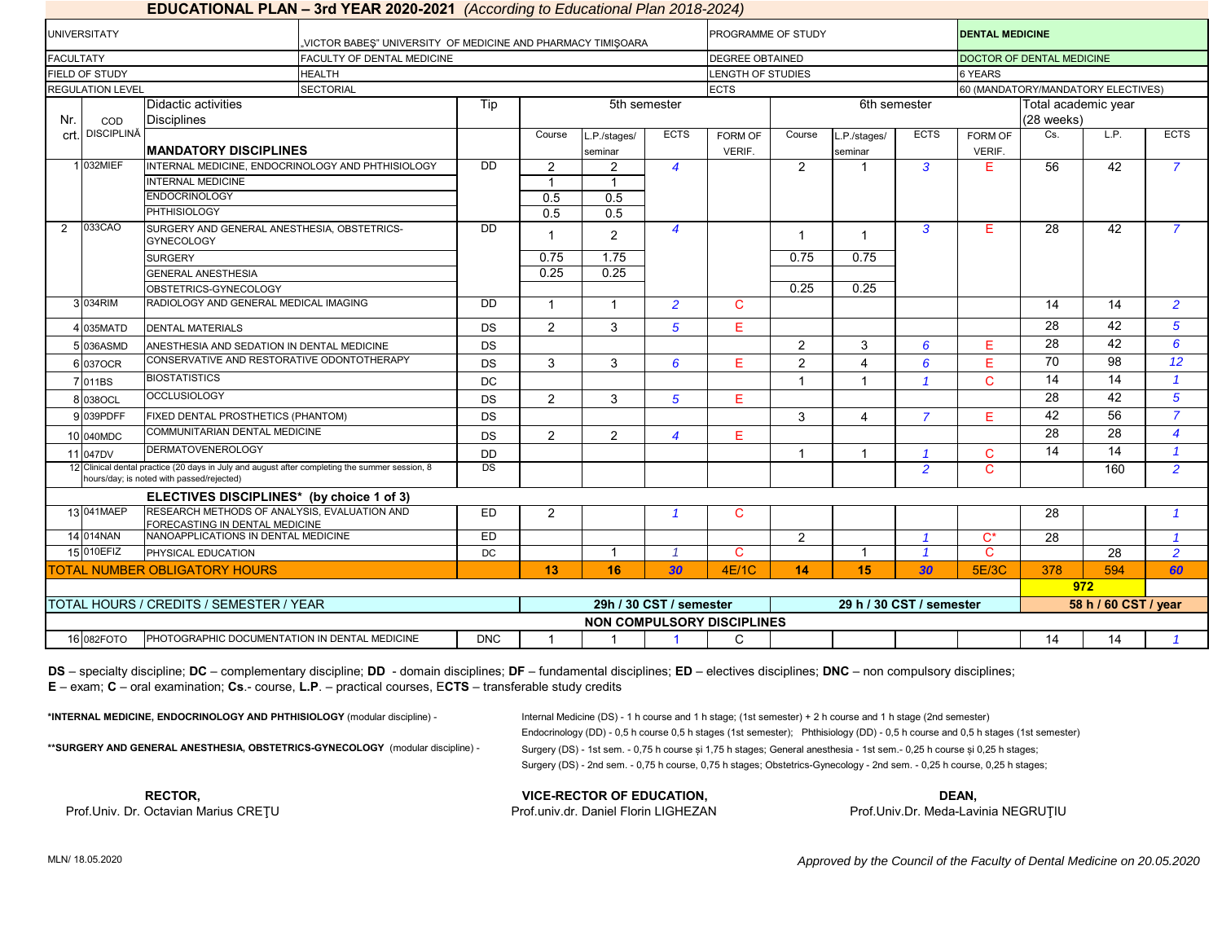|                          |                                                                                                                                             | <b>EDUCATIONAL PLAN – 3rd YEAR 2020-2021</b> <i>(According to Educational Plan 2018-2024)</i> |                 |                |                  |                         |                        |                                   |                          |                |                                    |                        |                      |                |  |  |
|--------------------------|---------------------------------------------------------------------------------------------------------------------------------------------|-----------------------------------------------------------------------------------------------|-----------------|----------------|------------------|-------------------------|------------------------|-----------------------------------|--------------------------|----------------|------------------------------------|------------------------|----------------------|----------------|--|--|
| <b>UNIVERSITATY</b>      |                                                                                                                                             | "VICTOR BABES" UNIVERSITY OF MEDICINE AND PHARMACY TIMISOARA                                  |                 |                |                  |                         | PROGRAMME OF STUDY     |                                   |                          |                |                                    | <b>DENTAL MEDICINE</b> |                      |                |  |  |
| <b>FACULTATY</b>         |                                                                                                                                             | FACULTY OF DENTAL MEDICINE                                                                    |                 |                |                  |                         | <b>DEGREE OBTAINED</b> |                                   |                          |                | DOCTOR OF DENTAL MEDICINE          |                        |                      |                |  |  |
| FIELD OF STUDY           |                                                                                                                                             | <b>HEALTH</b>                                                                                 |                 |                |                  |                         | LENGTH OF STUDIES      |                                   |                          |                | 6 YEARS                            |                        |                      |                |  |  |
| <b>REGULATION LEVEL</b>  |                                                                                                                                             | <b>SECTORIAL</b>                                                                              |                 |                |                  |                         | <b>ECTS</b>            |                                   |                          |                | 60 (MANDATORY/MANDATORY ELECTIVES) |                        |                      |                |  |  |
|                          | Didactic activities                                                                                                                         | Tip                                                                                           |                 | 5th semester   |                  |                         |                        | 6th semester                      | Total academic year      |                |                                    |                        |                      |                |  |  |
| Nr.<br>COD               | <b>Disciplines</b>                                                                                                                          |                                                                                               |                 |                |                  |                         |                        |                                   |                          |                |                                    | (28 weeks)             |                      |                |  |  |
| <b>DISCIPLINĂ</b><br>crt |                                                                                                                                             |                                                                                               |                 | Course         | L.P./stages/     | <b>ECTS</b>             | FORM OF                | Course                            | L.P./stages/             | <b>ECTS</b>    | FORM OF                            | Cs.                    | L.P.                 | <b>ECTS</b>    |  |  |
|                          | <b>MANDATORY DISCIPLINES</b>                                                                                                                |                                                                                               |                 |                | seminar          |                         | VERIF.                 |                                   | seminar                  |                | VERIF.                             |                        |                      |                |  |  |
| 1 032MIEF                |                                                                                                                                             | INTERNAL MEDICINE, ENDOCRINOLOGY AND PHTHISIOLOGY                                             | $\overline{DD}$ | $\overline{2}$ | 2                | $\overline{4}$          |                        | 2                                 |                          | $\overline{3}$ | E                                  | 56                     | 42                   | $\overline{7}$ |  |  |
|                          | <b>INTERNAL MEDICINE</b>                                                                                                                    |                                                                                               |                 |                |                  |                         |                        |                                   |                          |                |                                    |                        |                      |                |  |  |
|                          | <b>ENDOCRINOLOGY</b>                                                                                                                        |                                                                                               |                 | 0.5            | 0.5              |                         |                        |                                   |                          |                |                                    |                        |                      |                |  |  |
|                          | <b>PHTHISIOLOGY</b>                                                                                                                         |                                                                                               |                 | 0.5            | $\overline{0.5}$ |                         |                        |                                   |                          |                |                                    |                        |                      |                |  |  |
| 033CAO<br>$\mathcal{P}$  | SURGERY AND GENERAL ANESTHESIA, OBSTETRICS-<br><b>GYNECOLOGY</b>                                                                            |                                                                                               | DD              | -1             | $\overline{2}$   | $\overline{4}$          |                        | $\mathbf 1$                       |                          | 3              | E                                  | 28                     | 42                   | $\overline{7}$ |  |  |
|                          | <b>SURGERY</b>                                                                                                                              |                                                                                               |                 | 0.75           | 1.75             |                         |                        | 0.75                              | 0.75                     |                |                                    |                        |                      |                |  |  |
|                          | <b>GENERAL ANESTHESIA</b>                                                                                                                   |                                                                                               |                 | 0.25           | 0.25             |                         |                        |                                   |                          |                |                                    |                        |                      |                |  |  |
|                          | OBSTETRICS-GYNECOLOGY                                                                                                                       |                                                                                               |                 |                |                  |                         |                        | 0.25                              | 0.25                     |                |                                    |                        |                      |                |  |  |
| 3 034RIM                 | RADIOLOGY AND GENERAL MEDICAL IMAGING                                                                                                       |                                                                                               | <b>DD</b>       | -1             |                  | $\overline{2}$          | C                      |                                   |                          |                |                                    | 14                     | 14                   | $\overline{2}$ |  |  |
| 4 035MATD                | <b>DENTAL MATERIALS</b>                                                                                                                     | <b>DS</b>                                                                                     | $\overline{2}$  | $\mathcal{S}$  | $\overline{5}$   | E.                      |                        |                                   |                          |                | 28                                 | 42                     | $\overline{5}$       |                |  |  |
| 5 036ASMD                | ANESTHESIA AND SEDATION IN DENTAL MEDICINE                                                                                                  |                                                                                               | DS              |                |                  |                         |                        | 2                                 | 3                        | 6              | Е                                  | 28                     | 42                   | 6              |  |  |
| 6 037 OCR                | CONSERVATIVE AND RESTORATIVE ODONTOTHERAPY                                                                                                  |                                                                                               | DS              | 3              | 3                | 6                       | E.                     | $\overline{2}$                    | 4                        | 6              | E                                  | 70                     | 98                   | 12             |  |  |
| 7011BS                   | <b>BIOSTATISTICS</b>                                                                                                                        |                                                                                               | DC              |                |                  |                         |                        |                                   |                          | $\overline{1}$ | $\mathsf{C}$                       | 14                     | 14                   | $\overline{1}$ |  |  |
| <b>B</b> 038OCL          | <b>OCCLUSIOLOGY</b>                                                                                                                         |                                                                                               | <b>DS</b>       | $\overline{2}$ | 3                | $\overline{5}$          | E.                     |                                   |                          |                |                                    | 28                     | 42                   | $\overline{5}$ |  |  |
| 039PDFF                  | FIXED DENTAL PROSTHETICS (PHANTOM)                                                                                                          |                                                                                               | <b>DS</b>       |                |                  |                         |                        | 3                                 | $\overline{4}$           | $\overline{7}$ | E                                  | 42                     | 56                   | $\overline{7}$ |  |  |
| 10 040MDC                | COMMUNITARIAN DENTAL MEDICINE                                                                                                               |                                                                                               | <b>DS</b>       | $\overline{2}$ | $\overline{2}$   | $\overline{4}$          | E.                     |                                   |                          |                |                                    | 28                     | 28                   | $\overline{4}$ |  |  |
| 11 047DV                 | <b>DERMATOVENEROLOGY</b>                                                                                                                    |                                                                                               | <b>DD</b>       |                |                  |                         |                        |                                   |                          |                | C                                  | 14                     | 14                   | $\overline{1}$ |  |  |
|                          | 12 Clinical dental practice (20 days in July and august after completing the summer session, 8<br>hours/day; is noted with passed/rejected) |                                                                                               | DS              |                |                  |                         |                        |                                   |                          | $\overline{2}$ | $\mathbf C$                        |                        | 160                  | $\overline{2}$ |  |  |
|                          | ELECTIVES DISCIPLINES* (by choice 1 of 3)                                                                                                   |                                                                                               |                 |                |                  |                         |                        |                                   |                          |                |                                    |                        |                      |                |  |  |
|                          | RESEARCH METHODS OF ANALYSIS, EVALUATION AND<br>13 041MAEP<br>FORECASTING IN DENTAL MEDICINE                                                |                                                                                               | ED              | $\overline{2}$ |                  |                         | C                      |                                   |                          |                |                                    | 28                     |                      | $\mathcal I$   |  |  |
| 14 014NAN                | NANOAPPLICATIONS IN DENTAL MEDICINE                                                                                                         |                                                                                               | E <sub>D</sub>  |                |                  |                         |                        | 2                                 |                          |                | $C^*$                              | 28                     |                      | $\overline{1}$ |  |  |
| 15 010EFIZ               | PHYSICAL EDUCATION                                                                                                                          |                                                                                               | DC              |                |                  |                         | C                      |                                   |                          |                | $\mathbf C$                        |                        | 28                   | $\overline{2}$ |  |  |
|                          | <b>TOTAL NUMBER OBLIGATORY HOURS</b>                                                                                                        |                                                                                               |                 | 13             | 16               | 30                      | 4E/1C                  | 14                                | 15                       | 30             | 5E/3C                              | 378                    | 594                  | 60             |  |  |
|                          |                                                                                                                                             |                                                                                               |                 |                |                  |                         |                        |                                   |                          |                | 972                                |                        |                      |                |  |  |
|                          | TOTAL HOURS / CREDITS / SEMESTER / YEAR                                                                                                     |                                                                                               |                 |                |                  | 29h / 30 CST / semester |                        |                                   | 29 h / 30 CST / semester |                |                                    |                        | 58 h / 60 CST / year |                |  |  |
|                          |                                                                                                                                             |                                                                                               |                 |                |                  |                         |                        | <b>NON COMPULSORY DISCIPLINES</b> |                          |                |                                    |                        |                      |                |  |  |
| 16 082FOTO               | PHOTOGRAPHIC DOCUMENTATION IN DENTAL MEDICINE                                                                                               | <b>DNC</b>                                                                                    |                 |                |                  | C                       |                        |                                   |                          |                | 14                                 | 14                     |                      |                |  |  |

#### **E** – exam; **C** – oral examination; **Cs**.- course, **L.P**. – practical courses, E**CTS** – transferable study credits **DS** – specialty discipline; **DC** – complementary discipline; **DD** - domain disciplines; **DF** – fundamental disciplines; **ED** – electives disciplines; **DNC** – non compulsory disciplines;

\*\*SURGERY AND GENERAL ANESTHESIA, OBSTETRICS-GYNECOLOGY (modular discipline) - Surgery (DS) - 1st sem. - 0,75 h course și 1,75 h stages; General anesthesia - 1st sem. - 0,25 h course și 0,25 h stages; Surgery (DS) - 2nd sem. - 0,75 h course, 0,75 h stages; Obstetrics-Gynecology - 2nd sem. - 0,25 h course, 0,25 h stages; **\*INTERNAL MEDICINE, ENDOCRINOLOGY AND PHTHISIOLOGY** (modular discipline) - Internal Medicine (DS) - 1 h course and 1 h stage; (1st semester) + 2 h course and 1 h stage (2nd semester) Endocrinology (DD) - 0,5 h course 0,5 h stages (1st semester); Phthisiology (DD) - 0,5 h course and 0,5 h stages (1st semester)

**VICE-RECTOR OF EDUCATION, RECTOR, DEAN,**

Prof.Univ. Dr. Octavian Marius CREȚU **Prof.univ.dr. Daniel Florin LIGHEZAN** Prof.Univ.Dr. Meda-Lavinia NEGRUȚIU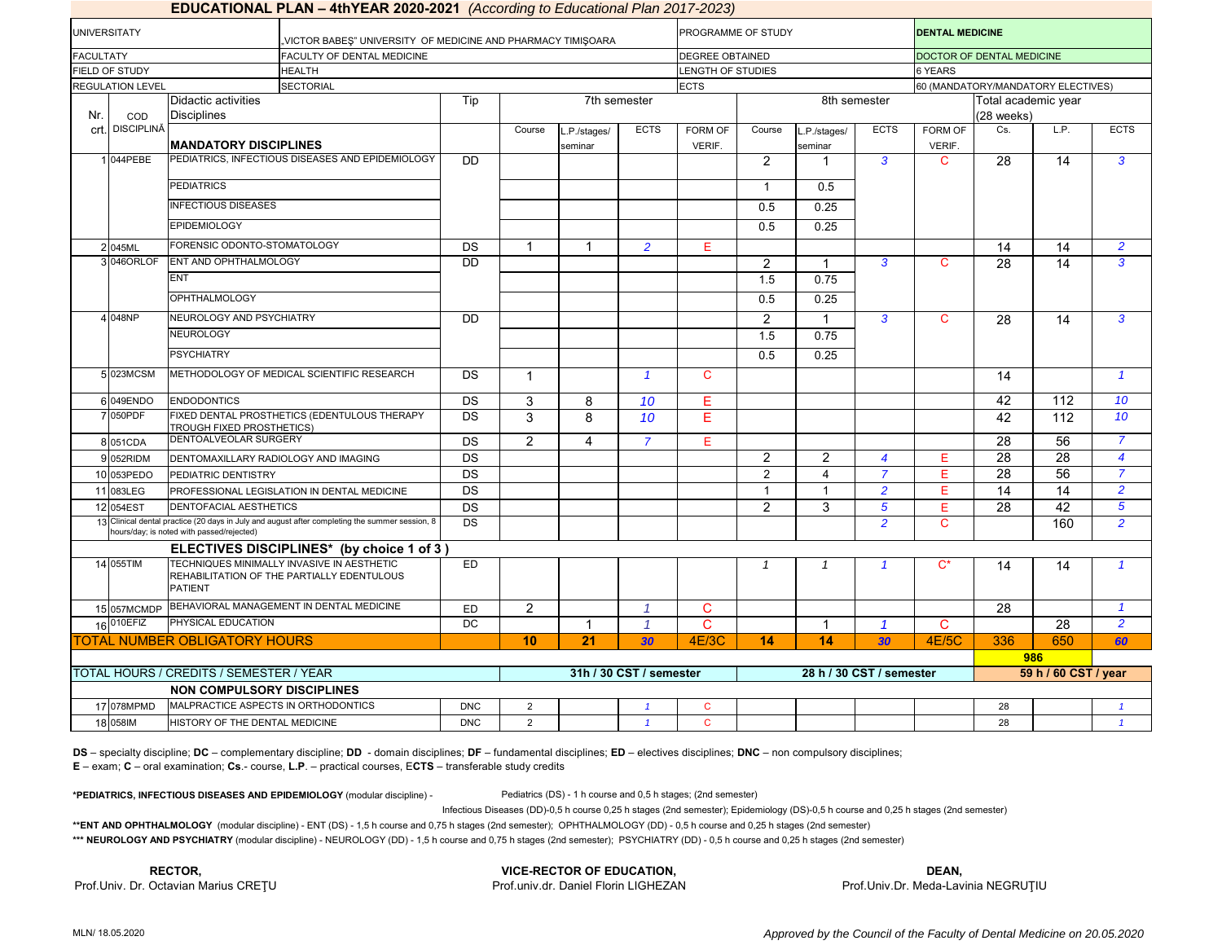|                         |                                                                       | <b>EDUCATIONAL PLAN – 4th rEAR 2020-2021</b> (According to Educational Plan 2017-2023)         |                 |                |                        |                         |                          |                |                        |                                    |                                   |                 |                  |                |  |
|-------------------------|-----------------------------------------------------------------------|------------------------------------------------------------------------------------------------|-----------------|----------------|------------------------|-------------------------|--------------------------|----------------|------------------------|------------------------------------|-----------------------------------|-----------------|------------------|----------------|--|
| <b>UNIVERSITATY</b>     |                                                                       | VICTOR BABES" UNIVERSITY OF MEDICINE AND PHARMACY TIMISOARA                                    |                 |                |                        |                         | PROGRAMME OF STUDY       |                |                        |                                    | <b>DENTAL MEDICINE</b>            |                 |                  |                |  |
| <b>FACULTATY</b>        |                                                                       | FACULTY OF DENTAL MEDICINE                                                                     |                 |                |                        |                         | <b>DEGREE OBTAINED</b>   |                |                        |                                    | DOCTOR OF DENTAL MEDICINE         |                 |                  |                |  |
| FIELD OF STUDY          |                                                                       | <b>HEALTH</b><br><b>SECTORIAL</b>                                                              |                 |                |                        |                         | <b>LENGTH OF STUDIES</b> |                |                        |                                    | 6 YEARS                           |                 |                  |                |  |
| <b>REGULATION LEVEL</b> |                                                                       |                                                                                                |                 |                |                        | <b>ECTS</b>             |                          |                |                        | 60 (MANDATORY/MANDATORY ELECTIVES) |                                   |                 |                  |                |  |
| COD<br>Nr.              | Didactic activities<br><b>Disciplines</b>                             |                                                                                                | Tip             |                |                        | 7th semester            |                          | 8th semester   |                        |                                    | Total academic year<br>(28 weeks) |                 |                  |                |  |
| crt. DISCIPLINĂ         | <b>MANDATORY DISCIPLINES</b>                                          |                                                                                                |                 | Course         | .P./stages/<br>seminar | <b>ECTS</b>             | <b>FORM OF</b><br>VERIF. | Course         | .P./stages/<br>seminar | <b>ECTS</b>                        | FORM OF<br>VERIF.                 | Cs.             | LP.              | <b>ECTS</b>    |  |
| 1 044 PEBE              |                                                                       | PEDIATRICS, INFECTIOUS DISEASES AND EPIDEMIOLOGY                                               | <b>DD</b>       |                |                        |                         |                          | 2              | 1                      | $\mathbf{3}$                       | $\mathbf C$                       | 28              | 14               | $\mathbf{3}$   |  |
|                         | <b>PEDIATRICS</b>                                                     |                                                                                                |                 |                |                        |                         |                          | $\mathbf{1}$   | 0.5                    |                                    |                                   |                 |                  |                |  |
|                         | <b>INFECTIOUS DISEASES</b>                                            |                                                                                                |                 |                |                        |                         | 0.5                      | 0.25           |                        |                                    |                                   |                 |                  |                |  |
|                         | <b>EPIDEMIOLOGY</b>                                                   |                                                                                                |                 |                |                        |                         |                          | 0.5            | 0.25                   |                                    |                                   |                 |                  |                |  |
| 2 045ML                 | FORENSIC ODONTO-STOMATOLOGY                                           |                                                                                                | <b>DS</b>       |                |                        | $\overline{2}$          | Е                        |                |                        |                                    |                                   | 14              | 14               | $\overline{2}$ |  |
| 3 046 ORLOF             | ENT AND OPHTHALMOLOGY                                                 |                                                                                                | <b>DD</b>       |                |                        |                         |                          | $\overline{2}$ | $\mathbf{1}$           | 3                                  | C                                 | 28              | 14               | $\overline{3}$ |  |
|                         | <b>ENT</b>                                                            |                                                                                                |                 |                |                        |                         |                          | 1.5            | 0.75                   |                                    |                                   |                 |                  |                |  |
|                         | <b>OPHTHALMOLOGY</b>                                                  |                                                                                                |                 |                |                        |                         |                          | 0.5            | 0.25                   |                                    |                                   |                 |                  |                |  |
| 4 048NP                 |                                                                       | NEUROLOGY AND PSYCHIATRY                                                                       |                 |                |                        |                         |                          | $\overline{c}$ | 1                      | $\mathbf{3}$                       | $\mathbf C$                       | 28              | 14               | 3              |  |
| NEUROLOGY               |                                                                       |                                                                                                |                 |                |                        |                         |                          | 1.5            | 0.75                   |                                    |                                   |                 |                  |                |  |
|                         | <b>PSYCHIATRY</b>                                                     |                                                                                                |                 |                |                        |                         |                          | 0.5            | 0.25                   |                                    |                                   |                 |                  |                |  |
| 5 023MCSM               | METHODOLOGY OF MEDICAL SCIENTIFIC RESEARCH                            |                                                                                                | <b>DS</b>       | $\overline{1}$ |                        | $\mathbf{1}$            | $\mathbf{C}$             |                |                        |                                    |                                   | 14              |                  | $\overline{1}$ |  |
| 6 049ENDO               | <b>ENDODONTICS</b>                                                    |                                                                                                | <b>DS</b>       | 3              | 8                      | 10                      | E                        |                |                        |                                    |                                   | 42              | 112              | 10             |  |
| 7 050PDF                | TROUGH FIXED PROSTHETICS)                                             | FIXED DENTAL PROSTHETICS (EDENTULOUS THERAPY                                                   | $\overline{DS}$ | 3              | 8                      | 10                      | E                        |                |                        |                                    |                                   | 42              | $\overline{112}$ | 10             |  |
| 8 051 CDA               | DENTOALVEOLAR SURGERY                                                 |                                                                                                | DS              | 2              | $\overline{4}$         | $\overline{7}$          | E                        |                |                        |                                    |                                   | $\overline{28}$ | 56               | $\overline{7}$ |  |
| 9 052RIDM               | DENTOMAXILLARY RADIOLOGY AND IMAGING                                  |                                                                                                | $\overline{DS}$ |                |                        |                         |                          | 2              | $\overline{2}$         | $\overline{4}$                     | Е                                 | 28              | 28               | $\overline{4}$ |  |
| 10 053PEDO              | PEDIATRIC DENTISTRY                                                   |                                                                                                | DS              |                |                        |                         |                          | $\overline{2}$ | $\overline{4}$         | $\overline{7}$                     | Е                                 | $\overline{28}$ | 56               | $\overline{7}$ |  |
| 11 083LEG               |                                                                       | PROFESSIONAL LEGISLATION IN DENTAL MEDICINE                                                    | DS              |                |                        |                         |                          | $\mathbf{1}$   | $\mathbf{1}$           | $\overline{2}$                     | Е                                 | 14              | 14               | $\overline{2}$ |  |
| 12 054EST               | DENTOFACIAL AESTHETICS                                                |                                                                                                | $\overline{DS}$ |                |                        |                         |                          | $\overline{2}$ | 3                      | $\overline{5}$                     | Е                                 | 28              | 42               | $\sqrt{5}$     |  |
|                         | nours/day; is noted with passed/rejected)                             | 13 Clinical dental practice (20 days in July and august after completing the summer session, 8 | <b>DS</b>       |                |                        |                         |                          |                |                        | $\overline{2}$                     | $\mathbf C$                       |                 | 160              | $\overline{2}$ |  |
|                         |                                                                       | ELECTIVES DISCIPLINES* (by choice 1 of 3)                                                      |                 |                |                        |                         |                          |                |                        |                                    |                                   |                 |                  |                |  |
| 14 055TIM               | <b>PATIENT</b>                                                        | TECHNIQUES MINIMALLY INVASIVE IN AESTHETIC<br>REHABILITATION OF THE PARTIALLY EDENTULOUS       | ED              |                |                        |                         |                          | $\mathcal I$   | $\mathbf{1}$           | $\mathbf{1}$                       | $C^*$                             | 14              | 14               |                |  |
|                         |                                                                       | 15 057MCMDP BEHAVIORAL MANAGEMENT IN DENTAL MEDICINE                                           | ED              | 2              |                        | $\overline{1}$          | $\mathbf C$              |                |                        |                                    |                                   | 28              |                  | $\overline{1}$ |  |
| 16 010EFIZ              | PHYSICAL EDUCATION                                                    |                                                                                                |                 |                | -1                     | $\mathcal{I}$           | $\mathbf C$              |                | $\mathbf 1$            | $\mathbf{1}$                       | C                                 |                 | 28               | $\overline{2}$ |  |
|                         | <b>TOTAL NUMBER OBLIGATORY HOURS</b>                                  |                                                                                                |                 | 10             | 21                     | 30                      | 4E/3C                    | 14             | 14                     | 30                                 | <b>4E/5C</b>                      | 336             | 650              | 60             |  |
|                         |                                                                       |                                                                                                |                 |                |                        |                         |                          |                |                        |                                    |                                   |                 | 986              |                |  |
|                         | TOTAL HOURS / CREDITS / SEMESTER / YEAR                               |                                                                                                |                 |                |                        | 31h / 30 CST / semester | 28 h / 30 CST / semester |                |                        |                                    | 59 h / 60 CST / year              |                 |                  |                |  |
| 17 078MPMD              | <b>NON COMPULSORY DISCIPLINES</b>                                     |                                                                                                | <b>DNC</b>      | $\overline{2}$ |                        | $\mathbf{1}$            | $\mathbf{C}$             |                |                        |                                    |                                   | 28              |                  | $\overline{1}$ |  |
| 18 058 M                | MALPRACTICE ASPECTS IN ORTHODONTICS<br>HISTORY OF THE DENTAL MEDICINE |                                                                                                |                 | 2              |                        |                         | $\mathbf{C}$             |                |                        |                                    |                                   | 28              |                  |                |  |
|                         |                                                                       |                                                                                                | <b>DNC</b>      |                |                        |                         |                          |                |                        |                                    |                                   |                 |                  |                |  |

### **EDUCATIONAL PLAN – 4thYEAR 2020-2021** *(According to Educational Plan 2017-2023)*

**DS** – specialty discipline; **DC** – complementary discipline; **DD** - domain disciplines; **DF** – fundamental disciplines; **ED** – electives disciplines; **DNC** – non compulsory disciplines; **E** – exam; **C** – oral examination; **Cs**.- course, **L.P**. – practical courses, E**CTS** – transferable study credits

**\*PEDIATRICS, INFECTIOUS DISEASES AND EPIDEMIOLOGY** (modular discipline) - Pediatrics (DS) - 1 h course and 0,5 h stages; (2nd semester)

Infectious Diseases (DD)-0,5 h course 0,25 h stages (2nd semester); Epidemiology (DS)-0,5 h course and 0,25 h stages (2nd semester)

**\*\*ENT AND OPHTHALMOLOGY** (modular discipline) - ENT (DS) - 1,5 h course and 0,75 h stages (2nd semester); OPHTHALMOLOGY (DD) - 0,5 h course and 0,25 h stages (2nd semester)

\*\*\* NEUROLOGY AND PSYCHIATRY (modular discipline) - NEUROLOGY (DD) - 1,5 h course and 0,75 h stages (2nd semester); PSYCHIATRY (DD) - 0,5 h course and 0,25 h stages (2nd semester)

**RECTOR, VICE-RECTOR OF EDUCATION, DEAN,** Prof.Univ. Dr. Octavian Marius CREȚU **Prof.univ.dr. Daniel Florin LIGHEZAN** 

Prof.Univ.Dr. Meda-Lavinia NEGRUŢIU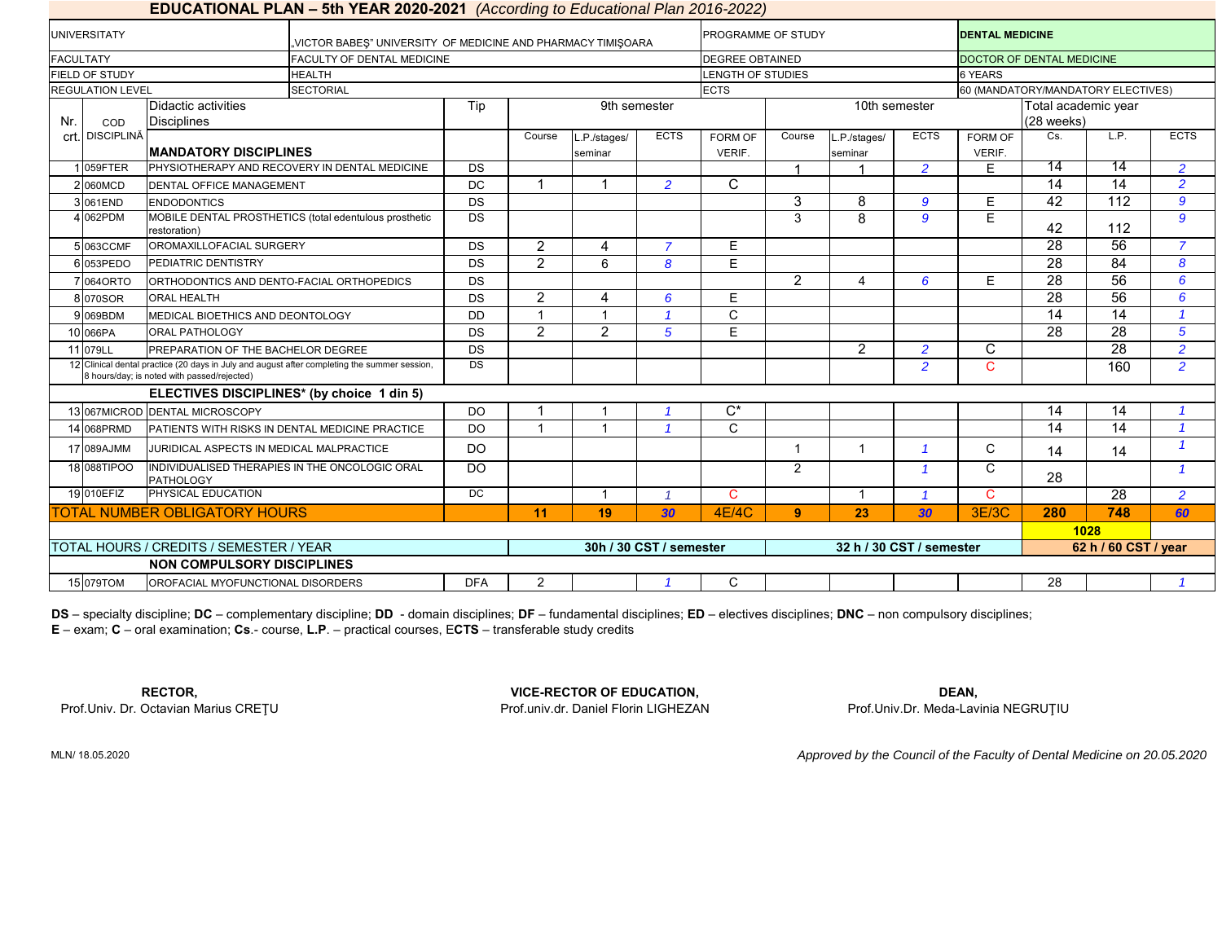### **EDUCATIONAL PLAN – 5th YEAR 2020-2021** *(According to Educational Plan 2016-2022)*

|                                         | <b>UNIVERSITATY</b>     |                                                                        | VICTOR BABES" UNIVERSITY OF MEDICINE AND PHARMACY TIMISOARA.                                 |            |                |                        |                         | <b>PROGRAMME OF STUDY</b> |                |                          |                         | <b>DENTAL MEDICINE</b>             |                      |                 |                |  |
|-----------------------------------------|-------------------------|------------------------------------------------------------------------|----------------------------------------------------------------------------------------------|------------|----------------|------------------------|-------------------------|---------------------------|----------------|--------------------------|-------------------------|------------------------------------|----------------------|-----------------|----------------|--|
| <b>FACULTATY</b>                        |                         |                                                                        | <b>FACULTY OF DENTAL MEDICINE</b>                                                            |            |                |                        |                         | <b>DEGREE OBTAINED</b>    |                |                          |                         | DOCTOR OF DENTAL MEDICINE          |                      |                 |                |  |
|                                         | FIELD OF STUDY          |                                                                        | <b>HEALTH</b>                                                                                |            |                |                        |                         | <b>LENGTH OF STUDIES</b>  |                |                          |                         | 6 YEARS                            |                      |                 |                |  |
|                                         | <b>REGULATION LEVEL</b> |                                                                        | <b>SECTORIAL</b>                                                                             |            |                |                        |                         | <b>ECTS</b>               |                |                          |                         | 60 (MANDATORY/MANDATORY ELECTIVES) |                      |                 |                |  |
|                                         |                         | Didactic activities                                                    | Tip                                                                                          |            |                | 9th semester           |                         |                           |                | 10th semester            | Total academic year     |                                    |                      |                 |                |  |
| Nr.                                     | COD                     | <b>Disciplines</b>                                                     |                                                                                              |            |                |                        |                         |                           |                |                          | (28 weeks)              |                                    |                      |                 |                |  |
|                                         | crt. DISCIPLINĂ         |                                                                        |                                                                                              |            | Course         | L.P./stages/           | <b>ECTS</b>             | FORM OF                   | Course         | L.P./stages/             | <b>ECTS</b>             | FORM OF                            | Cs.                  | L.P.            | <b>ECTS</b>    |  |
|                                         |                         | <b>MANDATORY DISCIPLINES</b>                                           |                                                                                              |            |                | seminar                |                         | <b>VERIF.</b>             |                | seminar                  |                         | VERIF.                             |                      |                 |                |  |
|                                         | 059FTER                 |                                                                        | PHYSIOTHERAPY AND RECOVERY IN DENTAL MEDICINE                                                | DS         |                |                        |                         |                           |                |                          | $\overline{2}$          | E                                  | 14                   | 14              | $\overline{2}$ |  |
|                                         | 2060MCD                 | <b>DENTAL OFFICE MANAGEMENT</b>                                        |                                                                                              | <b>DC</b>  | $\overline{ }$ |                        | $\overline{2}$          | C                         |                |                          |                         |                                    | $\overline{14}$      | 14              | $\overline{2}$ |  |
|                                         | 3061END                 | <b>ENDODONTICS</b>                                                     |                                                                                              | DS         |                |                        |                         |                           | 3              | 8                        | 9                       | E.                                 | 42                   | 112             | $\mathbf{g}$   |  |
|                                         | 4 062PDM                | MOBILE DENTAL PROSTHETICS (total edentulous prosthetic<br>restoration) |                                                                                              |            |                |                        |                         |                           | 3              | 8                        | 9                       | $\overline{E}$                     | 42                   | 112             | $\mathbf{g}$   |  |
|                                         | 5063CCMF                | OROMAXILLOFACIAL SURGERY                                               |                                                                                              |            | $\overline{2}$ | $\boldsymbol{\Lambda}$ |                         | Е                         |                |                          |                         |                                    | $\overline{28}$      | $\overline{56}$ | $\overline{7}$ |  |
|                                         | 6053PEDO                | PEDIATRIC DENTISTRY                                                    |                                                                                              | DS         | $\overline{2}$ | 6                      | 8                       | E                         |                |                          |                         |                                    | 28                   | 84              | 8              |  |
|                                         | 70640RTO                | ORTHODONTICS AND DENTO-FACIAL ORTHOPEDICS                              |                                                                                              |            |                |                        |                         |                           | $\overline{2}$ | $\boldsymbol{\Lambda}$   | 6                       | E                                  | 28                   | $\overline{56}$ | 6              |  |
|                                         | 8 070 SOR               | <b>ORAL HEALTH</b>                                                     |                                                                                              | <b>DS</b>  | $\overline{2}$ | $\Delta$               | 6                       | E                         |                |                          |                         |                                    | 28                   | 56              | 6              |  |
|                                         | 069BDM                  | MEDICAL BIOETHICS AND DEONTOLOGY                                       |                                                                                              | <b>DD</b>  |                |                        |                         | C                         |                |                          |                         |                                    | $\overline{14}$      | 14              |                |  |
|                                         | 10 066PA                | <b>ORAL PATHOLOGY</b>                                                  |                                                                                              | <b>DS</b>  | $\overline{2}$ | 2                      | 5                       | E                         |                |                          |                         |                                    | 28                   | 28              | 5              |  |
|                                         | 11 079LL                | PREPARATION OF THE BACHELOR DEGREE                                     |                                                                                              | <b>DS</b>  |                |                        |                         |                           |                | 2                        | $\overline{2}$          | C                                  |                      | $\overline{28}$ | $\overline{2}$ |  |
|                                         |                         | 8 hours/day; is noted with passed/rejected)                            | 12 Clinical dental practice (20 days in July and august after completing the summer session, | <b>DS</b>  |                |                        |                         |                           |                |                          | $\overline{2}$          | $\mathbf{C}$                       |                      | 160             | $\overline{2}$ |  |
|                                         |                         |                                                                        | ELECTIVES DISCIPLINES* (by choice 1 din 5)                                                   |            |                |                        |                         |                           |                |                          |                         |                                    |                      |                 |                |  |
|                                         | 13 067MICROD            | <b>DENTAL MICROSCOPY</b>                                               |                                                                                              | <b>DO</b>  |                |                        |                         | $\overline{C^*}$          |                |                          |                         |                                    | 14                   | 14              |                |  |
|                                         | 14 068PRMD              |                                                                        | PATIENTS WITH RISKS IN DENTAL MEDICINE PRACTICE                                              | <b>DO</b>  | $\overline{1}$ | -1                     |                         | $\mathsf{C}$              |                |                          |                         |                                    | 14                   | 14              | -4             |  |
|                                         | 17 089AJMM              | JURIDICAL ASPECTS IN MEDICAL MALPRACTICE                               |                                                                                              | <b>DO</b>  |                |                        |                         |                           | -1             | $\overline{1}$           | 1                       | C                                  | 14                   | 14              |                |  |
|                                         | 18 088TIPOO             | <b>PATHOLOGY</b>                                                       | INDIVIDUALISED THERAPIES IN THE ONCOLOGIC ORAL                                               | <b>DO</b>  |                |                        |                         |                           | $\overline{2}$ |                          | $\overline{1}$          | $\mathsf{C}$                       | 28                   |                 | $\overline{1}$ |  |
|                                         | 19 010EFIZ              | PHYSICAL EDUCATION                                                     |                                                                                              | DC         |                | $\overline{1}$         |                         | C                         |                | $\overline{1}$           | $\overline{\mathbf{1}}$ | $\mathbf{C}$                       |                      | $\overline{28}$ | $\overline{2}$ |  |
|                                         |                         | TOTAL NUMBER OBLIGATORY HOURS                                          |                                                                                              |            | 11             | 19                     | 30                      | <b>4E/4C</b>              | 9              | 23                       | 30                      | 3E/3C                              | 280                  | 748             | 60             |  |
|                                         |                         |                                                                        |                                                                                              |            |                |                        |                         |                           |                |                          |                         | 1028                               |                      |                 |                |  |
| TOTAL HOURS / CREDITS / SEMESTER / YEAR |                         |                                                                        |                                                                                              |            |                |                        | 30h / 30 CST / semester |                           |                | 32 h / 30 CST / semester |                         |                                    | 62 h / 60 CST / year |                 |                |  |
|                                         |                         | NON COMPULSORY DISCIPLINES                                             |                                                                                              |            |                |                        |                         |                           |                |                          |                         |                                    |                      |                 |                |  |
|                                         | 15 079TOM               | OROFACIAL MYOFUNCTIONAL DISORDERS                                      |                                                                                              | <b>DFA</b> | 2              |                        |                         | C                         |                |                          |                         |                                    | 28                   |                 |                |  |

**E** – exam; **C** – oral examination; **Cs**.- course, **L.P**. – practical courses, E**CTS** – transferable study credits **DS** – specialty discipline; **DC** – complementary discipline; **DD** - domain disciplines; **DF** – fundamental disciplines; **ED** – electives disciplines; **DNC** – non compulsory disciplines;

Prof.Univ. Dr. Octavian Marius CREŢU Prof.univ.dr. Daniel Florin LIGHEZAN Prof.Univ.Dr. Meda-Lavinia NEGRUŢIU

**VICE-RECTOR OF EDUCATION, RECTOR, DEAN,**

MLN/ 18.05.2020

*Approved by the Council of the Faculty of Dental Medicine on 20.05.2020*